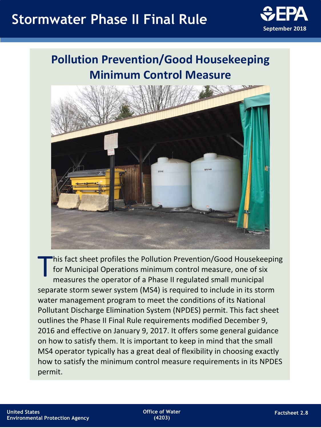# **Stormwater Phase II Final Rule**



# **Pollution Prevention/Good Housekeeping Minimum Control Measure**



This fact sheet profiles the Pollution Prevention/Good Housekeeping<br>for Municipal Operations minimum control measure, one of six<br>measures the operator of a Phase II regulated small municipal for Municipal Operations minimum control measure, one of six measures the operator of a Phase II regulated small municipal separate storm sewer system (MS4) is required to include in its storm Pollutant Discharge Elimination System (NPDES) permit. This fact sheet outlines the Phase II Final Rule requirements modified December 9, 2016 and effective on January 9, 2017. It offers some general guidance on how to satisfy them. It is important to keep in mind that the small MS4 operator typically has a great deal of flexibility in choosing exactly how to satisfy the minimum control measure requirements in its NPDES permit. water management program to meet the conditions of its National

**Office of Water (4203)**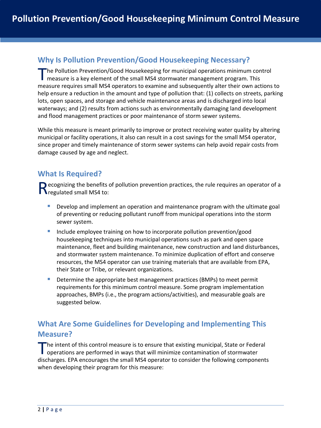## **Why Is Pollution Prevention/Good Housekeeping Necessary?**

The Pollution Prevention/Good Housekeeping for municipal operations minimum control The Pollution Prevention/Good Housekeeping for municipal operations minimum control<br>Tmeasure is a key element of the small MS4 stormwater management program. This measure requires small MS4 operators to examine and subsequently alter their own actions to help ensure a reduction in the amount and type of pollution that: (1) collects on streets, parking lots, open spaces, and storage and vehicle maintenance areas and is discharged into local waterways; and (2) results from actions such as environmentally damaging land development and flood management practices or poor maintenance of storm sewer systems.

 While this measure is meant primarily to improve or protect receiving water quality by altering since proper and timely maintenance of storm sewer systems can help avoid repair costs from municipal or facility operations, it also can result in a cost savings for the small MS4 operator, damage caused by age and neglect.

### **What Is Required?**

Recognizing the benefits of pollution prevention practices, the rule requires an operator of a Rregulated small MS4 to:

- **Develop and implement an operation and maintenance program with the ultimate goal** of preventing or reducing pollutant runoff from municipal operations into the storm sewer system.
- **Include employee training on how to incorporate pollution prevention/good**  and stormwater system maintenance. To minimize duplication of effort and conserve housekeeping techniques into municipal operations such as park and open space maintenance, fleet and building maintenance, new construction and land disturbances, resources, the MS4 operator can use training materials that are available from EPA, their State or Tribe, or relevant organizations.
- **Determine the appropriate best management practices (BMPs) to meet permit** requirements for this minimum control measure. Some program implementation approaches, BMPs (i.e., the program actions/activities), and measurable goals are suggested below.

# **Measure? What Are Some Guidelines for Developing and Implementing This**

 discharges. EPA encourages the small MS4 operator to consider the following components The intent of this control measure is to ensure that existing municipal, State or Federal operations are performed in ways that will minimize contamination of stormwater when developing their program for this measure: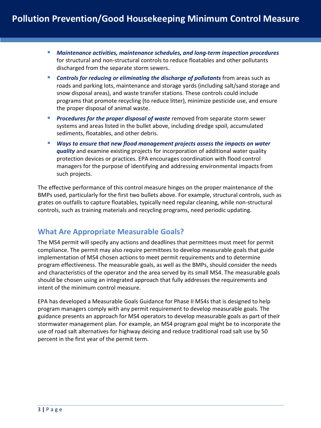- for structural and non-structural controls to reduce floatables and other pollutants *Maintenance activities, maintenance schedules, and long-term inspection procedures*  discharged from the separate storm sewers.
- programs that promote recycling (to reduce litter), minimize pesticide use, and ensure **Controls for reducing or eliminating the discharge of pollutants** from areas such as roads and parking lots, maintenance and storage yards (including salt/sand storage and snow disposal areas), and waste transfer stations. These controls could include the proper disposal of animal waste.
- **Procedures for the proper disposal of waste removed from separate storm sewer**  systems and areas listed in the bullet above, including dredge spoil, accumulated sediments, floatables, and other debris.
- managers for the purpose of identifying and addressing environmental impacts from *Ways to ensure that new flood management projects assess the impacts on water quality* and examine existing projects for incorporation of additional water quality protection devices or practices. EPA encourages coordination with flood control such projects.

 grates on outfalls to capture floatables, typically need regular cleaning, while non-structural controls, such as training materials and recycling programs, need periodic updating. The effective performance of this control measure hinges on the proper maintenance of the BMPs used, particularly for the first two bullets above. For example, structural controls, such as

## **What Are Appropriate Measurable Goals?**

 compliance. The permit may also require permittees to develop measurable goals that guide The MS4 permit will specify any actions and deadlines that permittees must meet for permit implementation of MS4 chosen actions to meet permit requirements and to determine program effectiveness. The measurable goals, as well as the BMPs, should consider the needs and characteristics of the operator and the area served by its small MS4. The measurable goals should be chosen using an integrated approach that fully addresses the requirements and intent of the minimum control measure.

 EPA has developed a Measurable Goals Guidance for Phase II MS4s that is designed to help program managers comply with any permit requirement to develop measurable goals. The stormwater management plan. For example, an MS4 program goal might be to incorporate the use of road salt alternatives for highway deicing and reduce traditional road salt use by 50 guidance presents an approach for MS4 operators to develop measurable goals as part of their percent in the first year of the permit term.